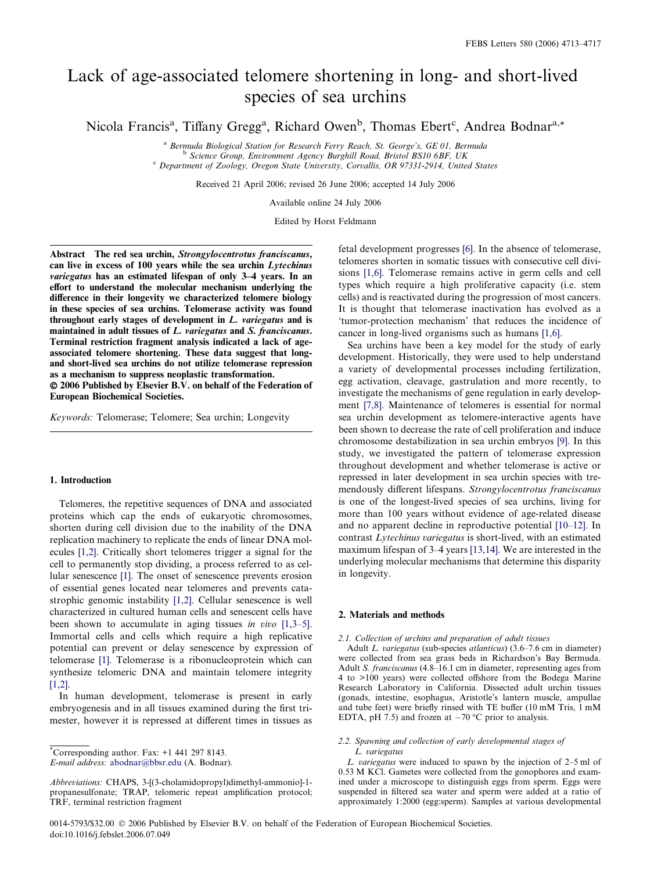# Lack of age-associated telomere shortening in long- and short-lived species of sea urchins

Nicola Francis<sup>a</sup>, Tiffany Gregg<sup>a</sup>, Richard Owen<sup>b</sup>, Thomas Ebert<sup>c</sup>, Andrea Bodnar<sup>a,\*</sup>

<sup>a</sup> Bermuda Biological Station for Research Ferry Reach, St. George's, GE 01, Bermuda<br><sup>b</sup> Science Group, Environment Agency Burghill Road, Bristol BS10 6BF, UK<br><sup>c</sup> Department of Zoology, Oregon State University, Corvallis,

Received 21 April 2006; revised 26 June 2006; accepted 14 July 2006

Available online 24 July 2006

Edited by Horst Feldmann

Abstract The red sea urchin, Strongylocentrotus franciscanus, can live in excess of 100 years while the sea urchin Lytechinus variegatus has an estimated lifespan of only 3–4 years. In an effort to understand the molecular mechanism underlying the difference in their longevity we characterized telomere biology in these species of sea urchins. Telomerase activity was found throughout early stages of development in L. variegatus and is maintained in adult tissues of L. variegatus and S. franciscanus. Terminal restriction fragment analysis indicated a lack of ageassociated telomere shortening. These data suggest that longand short-lived sea urchins do not utilize telomerase repression as a mechanism to suppress neoplastic transformation.

© 2006 Published by Elsevier B.V. on behalf of the Federation of European Biochemical Societies.

Keywords: Telomerase; Telomere; Sea urchin; Longevity

## 1. Introduction

Telomeres, the repetitive sequences of DNA and associated proteins which cap the ends of eukaryotic chromosomes, shorten during cell division due to the inability of the DNA replication machinery to replicate the ends of linear DNA molecules [\[1,2\].](#page-3-0) Critically short telomeres trigger a signal for the cell to permanently stop dividing, a process referred to as cellular senescence [\[1\]](#page-3-0). The onset of senescence prevents erosion of essential genes located near telomeres and prevents catastrophic genomic instability [\[1,2\]](#page-3-0). Cellular senescence is well characterized in cultured human cells and senescent cells have been shown to accumulate in aging tissues *in vivo* [\[1,3–5\]](#page-3-0). Immortal cells and cells which require a high replicative potential can prevent or delay senescence by expression of telomerase [\[1\].](#page-3-0) Telomerase is a ribonucleoprotein which can synthesize telomeric DNA and maintain telomere integrity [\[1,2\].](#page-3-0)

In human development, telomerase is present in early embryogenesis and in all tissues examined during the first trimester, however it is repressed at different times in tissues as

E-mail address: [abodnar@bbsr.edu](mailto:abodnar@bbsr.edu ) (A. Bodnar).

fetal development progresses [\[6\].](#page-3-0) In the absence of telomerase, telomeres shorten in somatic tissues with consecutive cell divisions [\[1,6\].](#page-3-0) Telomerase remains active in germ cells and cell types which require a high proliferative capacity (i.e. stem cells) and is reactivated during the progression of most cancers. It is thought that telomerase inactivation has evolved as a 'tumor-protection mechanism' that reduces the incidence of cancer in long-lived organisms such as humans [\[1,6\]](#page-3-0).

Sea urchins have been a key model for the study of early development. Historically, they were used to help understand a variety of developmental processes including fertilization, egg activation, cleavage, gastrulation and more recently, to investigate the mechanisms of gene regulation in early development [\[7,8\].](#page-3-0) Maintenance of telomeres is essential for normal sea urchin development as telomere-interactive agents have been shown to decrease the rate of cell proliferation and induce chromosome destabilization in sea urchin embryos [\[9\].](#page-3-0) In this study, we investigated the pattern of telomerase expression throughout development and whether telomerase is active or repressed in later development in sea urchin species with tremendously different lifespans. Strongylocentrotus franciscanus is one of the longest-lived species of sea urchins, living for more than 100 years without evidence of age-related disease and no apparent decline in reproductive potential [\[10–12\]](#page-3-0). In contrast Lytechinus variegatus is short-lived, with an estimated maximum lifespan of 3–4 years [\[13,14\]](#page-3-0). We are interested in the underlying molecular mechanisms that determine this disparity in longevity.

## 2. Materials and methods

## 2.1. Collection of urchins and preparation of adult tissues

Adult L. variegatus (sub-species atlanticus) (3.6–7.6 cm in diameter) were collected from sea grass beds in Richardson's Bay Bermuda. Adult S. franciscanus (4.8–16.1 cm in diameter, representing ages from 4 to >100 years) were collected offshore from the Bodega Marine Research Laboratory in California. Dissected adult urchin tissues (gonads, intestine, esophagus, Aristotle's lantern muscle, ampullae and tube feet) were briefly rinsed with TE buffer (10 mM Tris, 1 mM EDTA, pH 7.5) and frozen at  $-70$  °C prior to analysis.

# 2.2. Spawning and collection of early developmental stages of L. variegatus

L. variegatus were induced to spawn by the injection of 2–5 ml of 0.53 M KCl. Gametes were collected from the gonophores and examined under a microscope to distinguish eggs from sperm. Eggs were suspended in filtered sea water and sperm were added at a ratio of approximately 1:2000 (egg:sperm). Samples at various developmental

0014-5793/\$32.00 © 2006 Published by Elsevier B.V. on behalf of the Federation of European Biochemical Societies. doi:10.1016/j.febslet.2006.07.049

<sup>\*</sup> Corresponding author. Fax: +1 441 297 8143.

Abbreviations: CHAPS, 3-[(3-cholamidopropyl)dimethyl-ammonio]-1 propanesulfonate; TRAP, telomeric repeat amplification protocol; TRF, terminal restriction fragment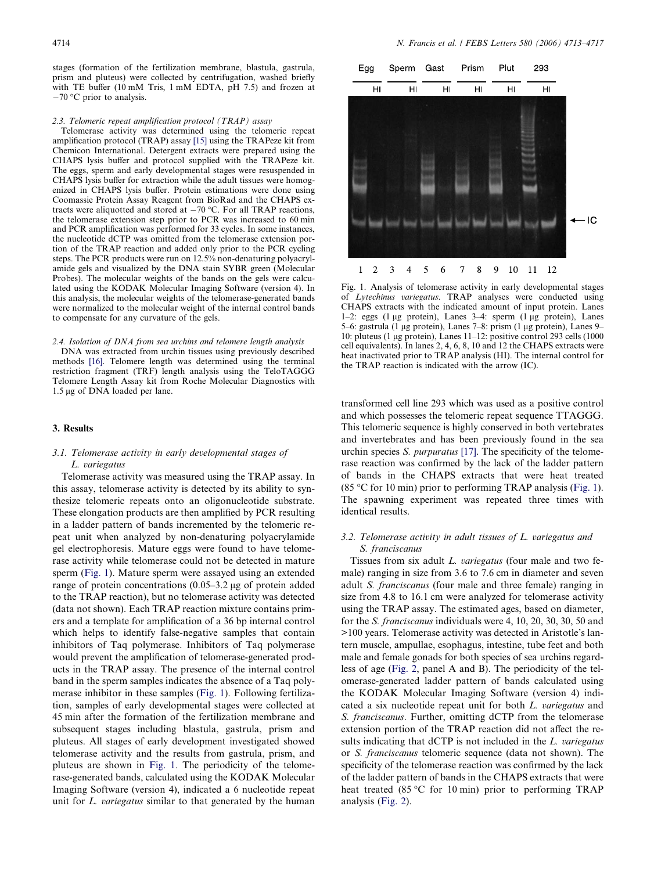stages (formation of the fertilization membrane, blastula, gastrula, prism and pluteus) were collected by centrifugation, washed briefly with TE buffer (10 mM Tris, 1 mM EDTA, pH 7.5) and frozen at  $-70$  °C prior to analysis.

#### 2.3. Telomeric repeat amplification protocol (TRAP) assay

Telomerase activity was determined using the telomeric repeat amplification protocol (TRAP) assay [\[15\]](#page-3-0) using the TRAPeze kit from Chemicon International. Detergent extracts were prepared using the CHAPS lysis buffer and protocol supplied with the TRAPeze kit. The eggs, sperm and early developmental stages were resuspended in CHAPS lysis buffer for extraction while the adult tissues were homogenized in CHAPS lysis buffer. Protein estimations were done using Coomassie Protein Assay Reagent from BioRad and the CHAPS extracts were aliquotted and stored at  $-70$  °C. For all TRAP reactions, the telomerase extension step prior to PCR was increased to 60 min and PCR amplification was performed for 33 cycles. In some instances, the nucleotide dCTP was omitted from the telomerase extension portion of the TRAP reaction and added only prior to the PCR cycling steps. The PCR products were run on 12.5% non-denaturing polyacrylamide gels and visualized by the DNA stain SYBR green (Molecular Probes). The molecular weights of the bands on the gels were calculated using the KODAK Molecular Imaging Software (version 4). In this analysis, the molecular weights of the telomerase-generated bands were normalized to the molecular weight of the internal control bands to compensate for any curvature of the gels.

#### 2.4. Isolation of DNA from sea urchins and telomere length analysis

DNA was extracted from urchin tissues using previously described methods [\[16\]](#page-3-0). Telomere length was determined using the terminal restriction fragment (TRF) length analysis using the TeloTAGGG Telomere Length Assay kit from Roche Molecular Diagnostics with 1.5 μg of DNA loaded per lane.

## 3. Results

# 3.1. Telomerase activity in early developmental stages of L. variegatus

Telomerase activity was measured using the TRAP assay. In this assay, telomerase activity is detected by its ability to synthesize telomeric repeats onto an oligonucleotide substrate. These elongation products are then amplified by PCR resulting in a ladder pattern of bands incremented by the telomeric repeat unit when analyzed by non-denaturing polyacrylamide gel electrophoresis. Mature eggs were found to have telomerase activity while telomerase could not be detected in mature sperm (Fig. 1). Mature sperm were assayed using an extended range of protein concentrations  $(0.05-3.2 \mu g)$  of protein added to the TRAP reaction), but no telomerase activity was detected (data not shown). Each TRAP reaction mixture contains primers and a template for amplification of a 36 bp internal control which helps to identify false-negative samples that contain inhibitors of Taq polymerase. Inhibitors of Taq polymerase would prevent the amplification of telomerase-generated products in the TRAP assay. The presence of the internal control band in the sperm samples indicates the absence of a Taq polymerase inhibitor in these samples (Fig. 1). Following fertilization, samples of early developmental stages were collected at 45 min after the formation of the fertilization membrane and subsequent stages including blastula, gastrula, prism and pluteus. All stages of early development investigated showed telomerase activity and the results from gastrula, prism, and pluteus are shown in Fig. 1. The periodicity of the telomerase-generated bands, calculated using the KODAK Molecular Imaging Software (version 4), indicated a 6 nucleotide repeat unit for L. variegatus similar to that generated by the human



Fig. 1. Analysis of telomerase activity in early developmental stages of Lytechinus variegatus. TRAP analyses were conducted using CHAPS extracts with the indicated amount of input protein. Lanes 1–2: eggs (1  $\mu$ g protein), Lanes 3–4: sperm (1  $\mu$ g protein), Lanes 5–6: gastrula (1 µg protein), Lanes 7–8: prism (1 µg protein), Lanes 9– 10: pluteus (1 µg protein), Lanes  $11-12$ : positive control 293 cells (1000 cell equivalents). In lanes 2, 4, 6, 8, 10 and 12 the CHAPS extracts were heat inactivated prior to TRAP analysis (HI). The internal control for the TRAP reaction is indicated with the arrow (IC).

transformed cell line 293 which was used as a positive control and which possesses the telomeric repeat sequence TTAGGG. This telomeric sequence is highly conserved in both vertebrates and invertebrates and has been previously found in the sea urchin species S. *purpuratus* [\[17\].](#page-3-0) The specificity of the telomerase reaction was confirmed by the lack of the ladder pattern of bands in the CHAPS extracts that were heat treated (85 °C for 10 min) prior to performing TRAP analysis (Fig. 1). The spawning experiment was repeated three times with identical results.

# 3.2. Telomerase activity in adult tissues of L. variegatus and S. franciscanus

Tissues from six adult L. variegatus (four male and two female) ranging in size from 3.6 to 7.6 cm in diameter and seven adult S. franciscanus (four male and three female) ranging in size from 4.8 to 16.1 cm were analyzed for telomerase activity using the TRAP assay. The estimated ages, based on diameter, for the S. franciscanus individuals were 4, 10, 20, 30, 30, 50 and >100 years. Telomerase activity was detected in Aristotle's lantern muscle, ampullae, esophagus, intestine, tube feet and both male and female gonads for both species of sea urchins regardless of age ([Fig. 2,](#page-2-0) panel A and B). The periodicity of the telomerase-generated ladder pattern of bands calculated using the KODAK Molecular Imaging Software (version 4) indicated a six nucleotide repeat unit for both L. variegatus and S. franciscanus. Further, omitting dCTP from the telomerase extension portion of the TRAP reaction did not affect the results indicating that dCTP is not included in the L. variegatus or S. franciscanus telomeric sequence (data not shown). The specificity of the telomerase reaction was confirmed by the lack of the ladder pattern of bands in the CHAPS extracts that were heat treated (85  $\degree$ C for 10 min) prior to performing TRAP analysis ([Fig. 2\)](#page-2-0).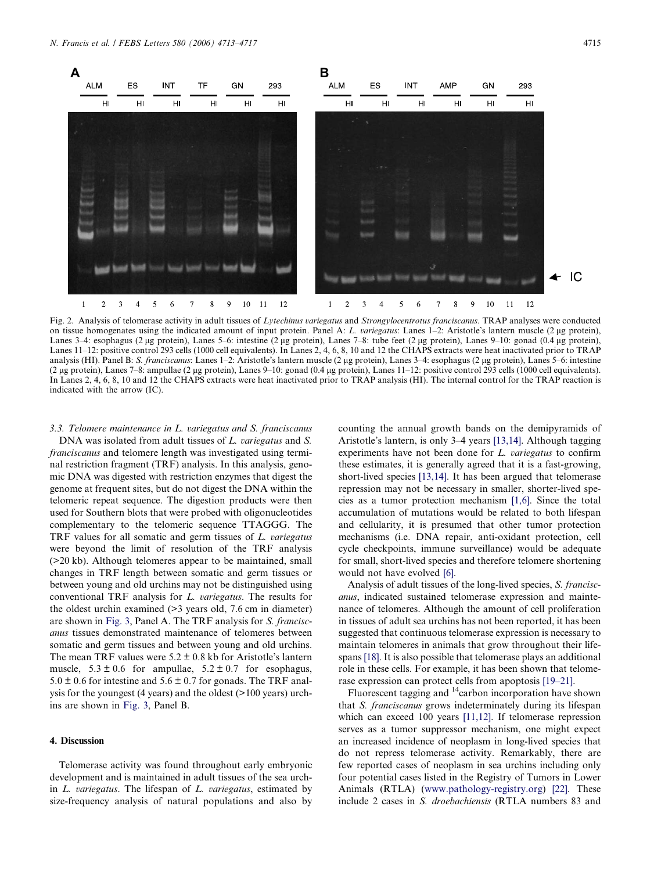<span id="page-2-0"></span>

Fig. 2. Analysis of telomerase activity in adult tissues of Lytechinus variegatus and Strongylocentrotus franciscanus. TRAP analyses were conducted on tissue homogenates using the indicated amount of input protein. Panel A: L. variegatus: Lanes 1–2: Aristotle's lantern muscle (2 µg protein), Lanes 3–4: esophagus (2 µg protein), Lanes 5–6: intestine (2 µg protein), Lanes 7–8: tube feet (2 µg protein), Lanes 9–10: gonad (0.4 µg protein), Lanes 11–12: positive control 293 cells (1000 cell equivalents). In Lanes 2, 4, 6, 8, 10 and 12 the CHAPS extracts were heat inactivated prior to TRAP analysis (HI). Panel B: S. franciscanus: Lanes 1–2: Aristotle's lantern muscle (2 µg protein), Lanes 3–4: esophagus (2 µg protein), Lanes 5–6: intestine (2 lg protein), Lanes 7–8: ampullae (2 lg protein), Lanes 9–10: gonad (0.4 lg protein), Lanes 11–12: positive control 293 cells (1000 cell equivalents). In Lanes 2, 4, 6, 8, 10 and 12 the CHAPS extracts were heat inactivated prior to TRAP analysis (HI). The internal control for the TRAP reaction is indicated with the arrow (IC).

3.3. Telomere maintenance in L. variegatus and S. franciscanus DNA was isolated from adult tissues of L. variegatus and S. franciscanus and telomere length was investigated using terminal restriction fragment (TRF) analysis. In this analysis, genomic DNA was digested with restriction enzymes that digest the genome at frequent sites, but do not digest the DNA within the telomeric repeat sequence. The digestion products were then used for Southern blots that were probed with oligonucleotides complementary to the telomeric sequence TTAGGG. The TRF values for all somatic and germ tissues of L. variegatus were beyond the limit of resolution of the TRF analysis (>20 kb). Although telomeres appear to be maintained, small changes in TRF length between somatic and germ tissues or between young and old urchins may not be distinguished using conventional TRF analysis for L. variegatus. The results for the oldest urchin examined (>3 years old, 7.6 cm in diameter) are shown in [Fig. 3](#page-3-0), Panel A. The TRF analysis for S. franciscanus tissues demonstrated maintenance of telomeres between somatic and germ tissues and between young and old urchins. The mean TRF values were  $5.2 \pm 0.8$  kb for Aristotle's lantern muscle,  $5.3 \pm 0.6$  for ampullae,  $5.2 \pm 0.7$  for esophagus,  $5.0 \pm 0.6$  for intestine and  $5.6 \pm 0.7$  for gonads. The TRF analysis for the youngest (4 years) and the oldest (>100 years) urchins are shown in [Fig. 3,](#page-3-0) Panel B.

# 4. Discussion

Telomerase activity was found throughout early embryonic development and is maintained in adult tissues of the sea urchin  $L$ . variegatus. The lifespan of  $L$ . variegatus, estimated by size-frequency analysis of natural populations and also by counting the annual growth bands on the demipyramids of Aristotle's lantern, is only 3–4 years [\[13,14\].](#page-3-0) Although tagging experiments have not been done for L. variegatus to confirm these estimates, it is generally agreed that it is a fast-growing, short-lived species [\[13,14\].](#page-3-0) It has been argued that telomerase repression may not be necessary in smaller, shorter-lived species as a tumor protection mechanism [\[1,6\]](#page-3-0). Since the total accumulation of mutations would be related to both lifespan and cellularity, it is presumed that other tumor protection mechanisms (i.e. DNA repair, anti-oxidant protection, cell cycle checkpoints, immune surveillance) would be adequate for small, short-lived species and therefore telomere shortening would not have evolved [\[6\]](#page-3-0).

Analysis of adult tissues of the long-lived species, S. franciscanus, indicated sustained telomerase expression and maintenance of telomeres. Although the amount of cell proliferation in tissues of adult sea urchins has not been reported, it has been suggested that continuous telomerase expression is necessary to maintain telomeres in animals that grow throughout their lifespans [\[18\]](#page-4-0). It is also possible that telomerase plays an additional role in these cells. For example, it has been shown that telomerase expression can protect cells from apoptosis [\[19–21\].](#page-4-0)

Fluorescent tagging and  $^{14}$ carbon incorporation have shown that S. franciscanus grows indeterminately during its lifespan which can exceed 100 years [\[11,12\]](#page-3-0). If telomerase repression serves as a tumor suppressor mechanism, one might expect an increased incidence of neoplasm in long-lived species that do not repress telomerase activity. Remarkably, there are few reported cases of neoplasm in sea urchins including only four potential cases listed in the Registry of Tumors in Lower Animals (RTLA) ([www.pathology-registry.org](http://www.pathology-registry.org)) [\[22\].](#page-4-0) These include 2 cases in S. droebachiensis (RTLA numbers 83 and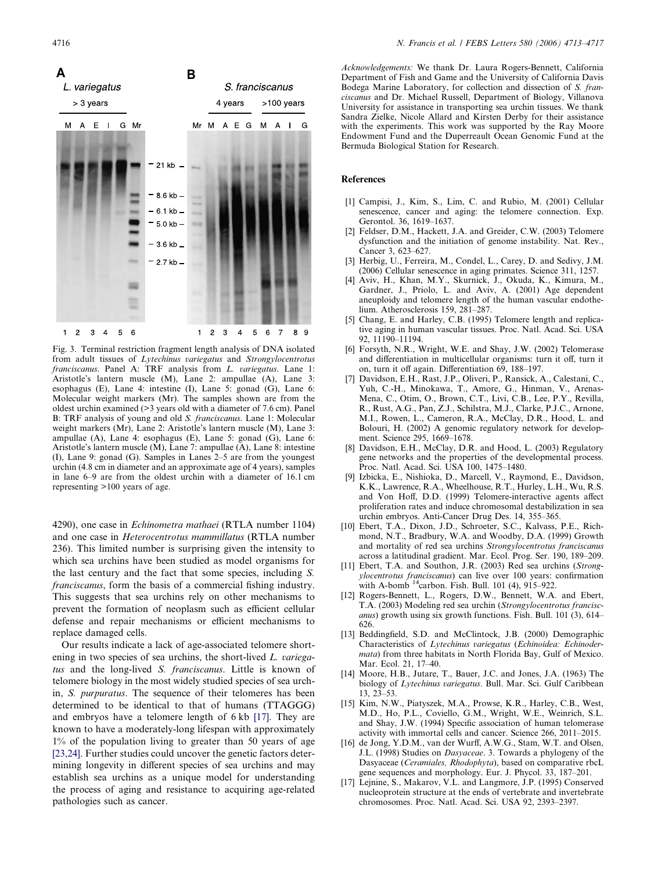<span id="page-3-0"></span>

Fig. 3. Terminal restriction fragment length analysis of DNA isolated from adult tissues of Lytechinus variegatus and Strongylocentrotus franciscanus. Panel A: TRF analysis from L. variegatus. Lane 1: Aristotle's lantern muscle (M), Lane 2: ampullae (A), Lane 3: esophagus (E), Lane 4: intestine (I), Lane 5: gonad (G), Lane 6: Molecular weight markers (Mr). The samples shown are from the oldest urchin examined (>3 years old with a diameter of 7.6 cm). Panel B: TRF analysis of young and old S. franciscanus. Lane 1: Molecular weight markers (Mr), Lane 2: Aristotle's lantern muscle (M), Lane 3: ampullae (A), Lane 4: esophagus (E), Lane 5: gonad (G), Lane 6: Aristotle's lantern muscle (M), Lane 7: ampullae (A), Lane 8: intestine (I), Lane 9: gonad (G). Samples in Lanes 2–5 are from the youngest urchin (4.8 cm in diameter and an approximate age of 4 years), samples in lane 6–9 are from the oldest urchin with a diameter of 16.1 cm representing >100 years of age.

4290), one case in Echinometra mathaei (RTLA number 1104) and one case in Heterocentrotus mammillatus (RTLA number 236). This limited number is surprising given the intensity to which sea urchins have been studied as model organisms for the last century and the fact that some species, including S. franciscanus, form the basis of a commercial fishing industry. This suggests that sea urchins rely on other mechanisms to prevent the formation of neoplasm such as efficient cellular defense and repair mechanisms or efficient mechanisms to replace damaged cells.

Our results indicate a lack of age-associated telomere shortening in two species of sea urchins, the short-lived L. variegatus and the long-lived S. franciscanus. Little is known of telomere biology in the most widely studied species of sea urchin, S. purpuratus. The sequence of their telomeres has been determined to be identical to that of humans (TTAGGG) and embryos have a telomere length of 6 kb [17]. They are known to have a moderately-long lifespan with approximately 1% of the population living to greater than 50 years of age [\[23,24\]](#page-4-0). Further studies could uncover the genetic factors determining longevity in different species of sea urchins and may establish sea urchins as a unique model for understanding the process of aging and resistance to acquiring age-related pathologies such as cancer.

Acknowledgements: We thank Dr. Laura Rogers-Bennett, California Department of Fish and Game and the University of California Davis Bodega Marine Laboratory, for collection and dissection of S. franciscanus and Dr. Michael Russell, Department of Biology, Villanova University for assistance in transporting sea urchin tissues. We thank Sandra Zielke, Nicole Allard and Kirsten Derby for their assistance with the experiments. This work was supported by the Ray Moore Endowment Fund and the Duperreault Ocean Genomic Fund at the Bermuda Biological Station for Research.

# References

- [1] Campisi, J., Kim, S., Lim, C. and Rubio, M. (2001) Cellular senescence, cancer and aging: the telomere connection. Exp. Gerontol. 36, 1619–1637.
- [2] Feldser, D.M., Hackett, J.A. and Greider, C.W. (2003) Telomere dysfunction and the initiation of genome instability. Nat. Rev., Cancer 3, 623–627.
- [3] Herbig, U., Ferreira, M., Condel, L., Carey, D. and Sedivy, J.M. (2006) Cellular senescence in aging primates. Science 311, 1257.
- [4] Aviv, H., Khan, M.Y., Skurnick, J., Okuda, K., Kimura, M., Gardner, J., Priolo, L. and Aviv, A. (2001) Age dependent aneuploidy and telomere length of the human vascular endothelium. Atherosclerosis 159, 281–287.
- Chang, E. and Harley, C.B. (1995) Telomere length and replicative aging in human vascular tissues. Proc. Natl. Acad. Sci. USA 92, 11190–11194.
- [6] Forsyth, N.R., Wright, W.E. and Shay, J.W. (2002) Telomerase and differentiation in multicellular organisms: turn it off, turn it on, turn it off again. Differentiation 69, 188–197.
- [7] Davidson, E.H., Rast, J.P., Oliveri, P., Ransick, A., Calestani, C., Yuh, C.-H., Minokawa, T., Amore, G., Hinman, V., Arenas-Mena, C., Otim, O., Brown, C.T., Livi, C.B., Lee, P.Y., Revilla, R., Rust, A.G., Pan, Z.J., Schilstra, M.J., Clarke, P.J.C., Arnone, M.I., Rowen, L., Cameron, R.A., McClay, D.R., Hood, L. and Bolouri, H. (2002) A genomic regulatory network for development. Science 295, 1669–1678.
- [8] Davidson, E.H., McClay, D.R. and Hood, L. (2003) Regulatory gene networks and the properties of the developmental process. Proc. Natl. Acad. Sci. USA 100, 1475–1480.
- [9] Izbicka, E., Nishioka, D., Marcell, V., Raymond, E., Davidson, K.K., Lawrence, R.A., Wheelhouse, R.T., Hurley, L.H., Wu, R.S. and Von Hoff, D.D. (1999) Telomere-interactive agents affect proliferation rates and induce chromosomal destabilization in sea urchin embryos. Anti-Cancer Drug Des. 14, 355–365.
- [10] Ebert, T.A., Dixon, J.D., Schroeter, S.C., Kalvass, P.E., Richmond, N.T., Bradbury, W.A. and Woodby, D.A. (1999) Growth and mortality of red sea urchins Strongylocentrotus franciscanus across a latitudinal gradient. Mar. Ecol. Prog. Ser. 190, 189–209.
- [11] Ebert, T.A. and Southon, J.R. (2003) Red sea urchins (Strongylocentrotus franciscanus) can live over 100 years: confirmation with A-bomb <sup>14</sup>carbon. Fish. Bull. 101 (4), 915-922.
- [12] Rogers-Bennett, L., Rogers, D.W., Bennett, W.A. and Ebert, T.A. (2003) Modeling red sea urchin (Strongylocentrotus franciscanus) growth using six growth functions. Fish. Bull. 101 (3), 614– 626.
- [13] Beddingfield, S.D. and McClintock, J.B. (2000) Demographic Characteristics of Lytechinus variegatus (Echinoidea: Echinodermata) from three habitats in North Florida Bay, Gulf of Mexico. Mar. Ecol. 21, 17–40.
- [14] Moore, H.B., Jutare, T., Bauer, J.C. and Jones, J.A. (1963) The biology of Lytechinus variegatus. Bull. Mar. Sci. Gulf Caribbean 13, 23–53.
- [15] Kim, N.W., Piatyszek, M.A., Prowse, K.R., Harley, C.B., West, M.D., Ho, P.L., Coviello, G.M., Wright, W.E., Weinrich, S.L. and Shay, J.W. (1994) Specific association of human telomerase activity with immortal cells and cancer. Science 266, 2011–2015.
- [16] de Jong, Y.D.M., van der Wurff, A.W.G., Stam, W.T. and Olsen, J.L. (1998) Studies on Dasyaceae. 3. Towards a phylogeny of the Dasyaceae (Ceramiales, Rhodophyta), based on comparative rbcL gene sequences and morphology. Eur. J. Phycol. 33, 187–201.
- [17] Lejnine, S., Makarov, V.L. and Langmore, J.P. (1995) Conserved nucleoprotein structure at the ends of vertebrate and invertebrate chromosomes. Proc. Natl. Acad. Sci. USA 92, 2393–2397.